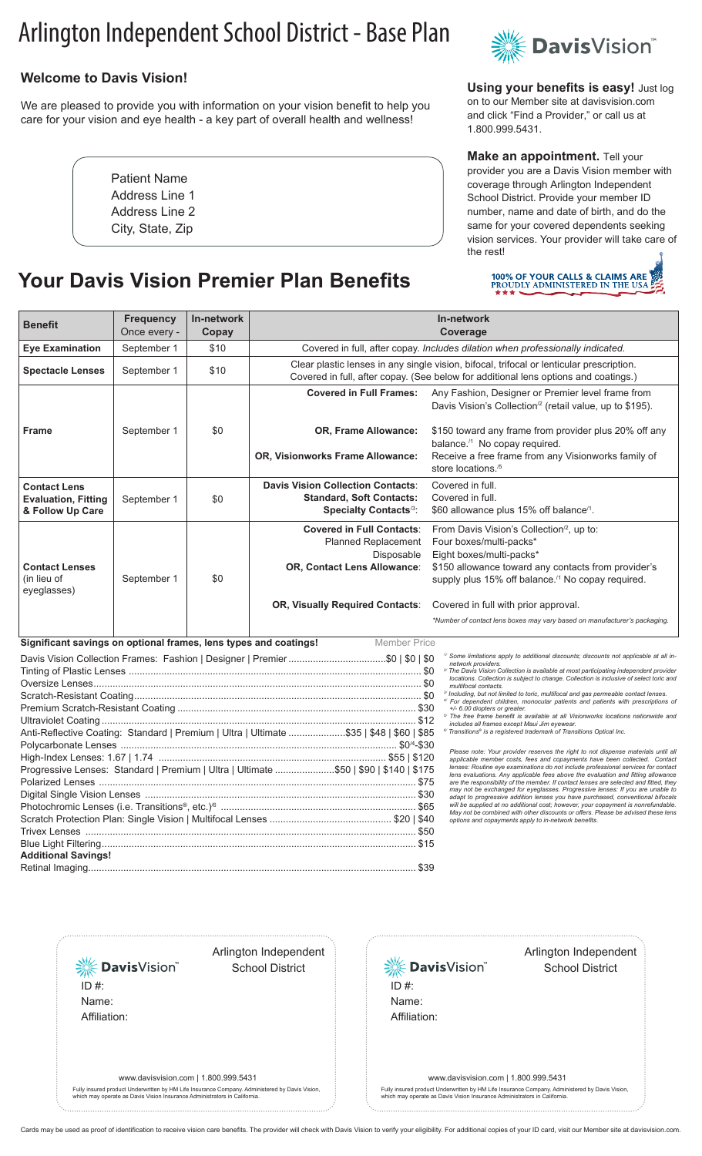# Arlington Independent School District - Base Plan

### **Welcome to Davis Vision!**

We are pleased to provide you with information on your vision benefit to help you care for your vision and eye health - a key part of overall health and wellness!

> Patient Name Address Line 1 Address Line 2 City, State, Zip

## **Your Davis Vision Premier Plan Benefits**



**Using your benefits is easy!** Just log on to our Member site at davisvision.com and click "Find a Provider," or call us at 1.800.999.5431.

#### **Make an appointment.** Tell your provider you are a Davis Vision member with coverage through Arlington Independent School District. Provide your member ID number, name and date of birth, and do the same for your covered dependents seeking vision services. Your provider will take care of the rest!



| <b>Benefit</b>                                                                                                         | <b>Frequency</b><br>Once every - | In-network<br>Copay | In-network<br>Coverage                                                                                                                                                          |                                                                                                                                                                                     |
|------------------------------------------------------------------------------------------------------------------------|----------------------------------|---------------------|---------------------------------------------------------------------------------------------------------------------------------------------------------------------------------|-------------------------------------------------------------------------------------------------------------------------------------------------------------------------------------|
| <b>Eye Examination</b>                                                                                                 | September 1                      | \$10                | Covered in full, after copay. Includes dilation when professionally indicated.                                                                                                  |                                                                                                                                                                                     |
| <b>Spectacle Lenses</b>                                                                                                | September 1                      | \$10                | Clear plastic lenses in any single vision, bifocal, trifocal or lenticular prescription.<br>Covered in full, after copay. (See below for additional lens options and coatings.) |                                                                                                                                                                                     |
|                                                                                                                        |                                  |                     | <b>Covered in Full Frames:</b>                                                                                                                                                  | Any Fashion, Designer or Premier level frame from<br>Davis Vision's Collection <sup>/2</sup> (retail value, up to \$195).                                                           |
| <b>Frame</b>                                                                                                           | September 1                      | \$0                 | OR, Frame Allowance:                                                                                                                                                            | \$150 toward any frame from provider plus 20% off any<br>balance. <sup>/1</sup> No copay required.                                                                                  |
|                                                                                                                        |                                  |                     | OR, Visionworks Frame Allowance:                                                                                                                                                | Receive a free frame from any Visionworks family of<br>store locations. <sup>/5</sup>                                                                                               |
| <b>Contact Lens</b>                                                                                                    |                                  |                     | <b>Davis Vision Collection Contacts:</b><br><b>Standard, Soft Contacts:</b>                                                                                                     | Covered in full.<br>Covered in full.                                                                                                                                                |
| <b>Evaluation, Fitting</b><br>& Follow Up Care                                                                         | September 1                      | \$0                 | Specialty Contacts <sup>/3</sup> :                                                                                                                                              | \$60 allowance plus 15% off balance <sup>/1</sup> .                                                                                                                                 |
|                                                                                                                        |                                  |                     | <b>Covered in Full Contacts:</b><br><b>Planned Replacement</b>                                                                                                                  | From Davis Vision's Collection <sup>/2</sup> , up to:<br>Four boxes/multi-packs*                                                                                                    |
|                                                                                                                        |                                  |                     | Disposable                                                                                                                                                                      | Eight boxes/multi-packs*                                                                                                                                                            |
| <b>Contact Lenses</b>                                                                                                  |                                  |                     | OR, Contact Lens Allowance:                                                                                                                                                     | \$150 allowance toward any contacts from provider's                                                                                                                                 |
| (in lieu of<br>eyeglasses)                                                                                             | September 1                      | \$0                 |                                                                                                                                                                                 | supply plus 15% off balance. <sup>/1</sup> No copay required.                                                                                                                       |
|                                                                                                                        |                                  |                     | OR, Visually Required Contacts:                                                                                                                                                 | Covered in full with prior approval.                                                                                                                                                |
|                                                                                                                        |                                  |                     |                                                                                                                                                                                 | *Number of contact lens boxes may vary based on manufacturer's packaging.                                                                                                           |
| Significant savings on optional frames, lens types and coatings!<br><b>Member Price</b>                                |                                  |                     |                                                                                                                                                                                 |                                                                                                                                                                                     |
| <sup>1/</sup> Some limitations apply to additional discounts; discounts not applicable at all in<br>network providers. |                                  |                     |                                                                                                                                                                                 |                                                                                                                                                                                     |
| <sup>2/</sup> The Davis Vision Collection is available at most participating independent provider                      |                                  |                     |                                                                                                                                                                                 |                                                                                                                                                                                     |
|                                                                                                                        |                                  |                     |                                                                                                                                                                                 | locations. Collection is subject to change. Collection is inclusive of select toric and<br>multifocal contacts.                                                                     |
|                                                                                                                        |                                  |                     |                                                                                                                                                                                 | <sup>3/</sup> Including, but not limited to toric, multifocal and gas permeable contact lenses.<br>4/ For dependent children, monocular patients and patients with prescriptions of |
|                                                                                                                        |                                  |                     |                                                                                                                                                                                 | +/- 6.00 diopters or greater.<br><sup>5</sup> The free frame benefit is available at all Visionworks locations nationwide and                                                       |
| Anti-Reflective Coating: Standard   Premium   Ultra   Ultimate \$35   \$48   \$60   \$85                               |                                  |                     |                                                                                                                                                                                 | includes all frames except Maui Jim eyewear.<br><sup>6</sup> Transitions <sup>®</sup> is a registered trademark of Transitions Optical Inc.                                         |
|                                                                                                                        |                                  |                     |                                                                                                                                                                                 |                                                                                                                                                                                     |
|                                                                                                                        |                                  |                     |                                                                                                                                                                                 | Please note: Your provider reserves the right to not dispense materials until all<br>applicable member costs, fees and copayments have been collected. Contact                      |
| Progressive Lenses: Standard   Premium   Ultra   Ultimate \$50   \$90   \$140   \$175                                  |                                  |                     |                                                                                                                                                                                 | lenses: Routine eye examinations do not include professional services for contact                                                                                                   |
|                                                                                                                        |                                  |                     |                                                                                                                                                                                 | lens evaluations. Any applicable fees above the evaluation and fitting allowance<br>are the responsibility of the member. If contact lenses are selected and fitted, they           |
|                                                                                                                        |                                  |                     |                                                                                                                                                                                 | may not be exchanged for eyeglasses. Progressive lenses: If you are unable to<br>adapt to progressive addition lenses you have purchased, conventional bifocals                     |
|                                                                                                                        |                                  |                     |                                                                                                                                                                                 | will be supplied at no additional cost; however, your copayment is nonrefundable.<br>May not be combined with other discounts or offers. Please be advised these lens               |
|                                                                                                                        |                                  |                     |                                                                                                                                                                                 | options and copayments apply to in-network benefits.                                                                                                                                |
|                                                                                                                        |                                  |                     |                                                                                                                                                                                 |                                                                                                                                                                                     |
|                                                                                                                        |                                  |                     |                                                                                                                                                                                 |                                                                                                                                                                                     |
| <b>Additional Savings!</b>                                                                                             |                                  |                     |                                                                                                                                                                                 |                                                                                                                                                                                     |
|                                                                                                                        |                                  |                     |                                                                                                                                                                                 |                                                                                                                                                                                     |

**※Davis**Vision ID #: Name: Affiliation: 

Arlington Independent

School District



Cards may be used as proof of identification to receive vision care benefits. The provider will check with Davis Vision to verify your eligibility. For additional copies of your ID card, visit our Member site at davisvisio

#### Arlington Independent School District

www.davisvision.com | 1.800.999.5431

Fully insured product Underwritten by HM Life Insurance Company. Administered by Davis Vision, which may operate as Davis Vision Insurance Administrators in California.

www.davisvision.com | 1.800.999.5431

Fully insured product Underwritten by HM Life Insurance Company. Administered by Davis Vision, which may operate as Davis Vision Insurance Administrators in California.